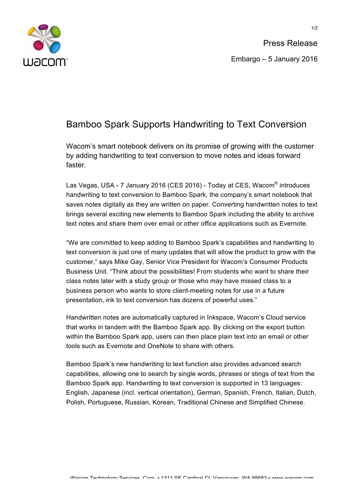

## Bamboo Spark Supports Handwriting to Text Conversion

Wacom's smart notebook delivers on its promise of growing with the customer by adding handwriting to text conversion to move notes and ideas forward faster.

Las Vegas, USA - 7 January 2016 (CES 2016) - Today at CES, Wacom® introduces handwriting to text conversion to Bamboo Spark, the company's smart notebook that saves notes digitally as they are written on paper. Converting handwritten notes to text brings several exciting new elements to Bamboo Spark including the ability to archive text notes and share them over email or other office applications such as Evernote.

"We are committed to keep adding to Bamboo Spark's capabilities and handwriting to text conversion is just one of many updates that will allow the product to grow with the customer," says Mike Gay, Senior Vice President for Wacom's Consumer Products Business Unit. "Think about the possibilities! From students who want to share their class notes later with a study group or those who may have missed class to a business person who wants to store client-meeting notes for use in a future presentation, ink to text conversion has dozens of powerful uses."

Handwritten notes are automatically captured in Inkspace, Wacom's Cloud service that works in tandem with the Bamboo Spark app. By clicking on the export button within the Bamboo Spark app, users can then place plain text into an email or other tools such as Evernote and OneNote to share with others.

Bamboo Spark's new handwriting to text function also provides advanced search capabilities, allowing one to search by single words, phrases or stings of text from the Bamboo Spark app. Handwriting to text conversion is supported in 13 languages: English, Japanese (incl. vertical orientation), German, Spanish, French, Italian, Dutch, Polish, Portuguese, Russian, Korean, Traditional Chinese and Simplified Chinese.